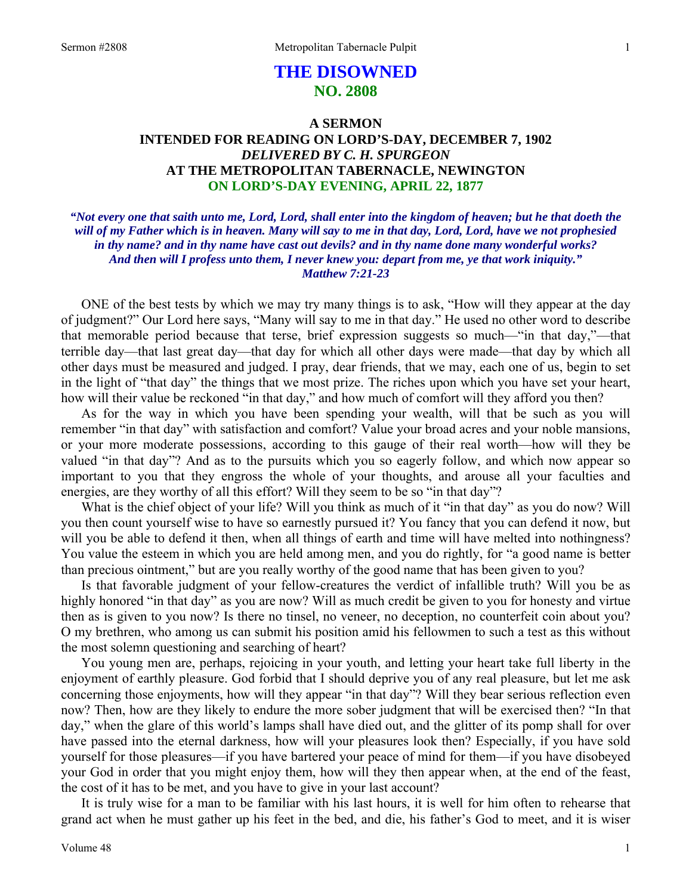# **THE DISOWNED NO. 2808**

### **A SERMON INTENDED FOR READING ON LORD'S-DAY, DECEMBER 7, 1902**  *DELIVERED BY C. H. SPURGEON*  **AT THE METROPOLITAN TABERNACLE, NEWINGTON ON LORD'S-DAY EVENING, APRIL 22, 1877**

*"Not every one that saith unto me, Lord, Lord, shall enter into the kingdom of heaven; but he that doeth the will of my Father which is in heaven. Many will say to me in that day, Lord, Lord, have we not prophesied in thy name? and in thy name have cast out devils? and in thy name done many wonderful works? And then will I profess unto them, I never knew you: depart from me, ye that work iniquity." Matthew 7:21-23* 

ONE of the best tests by which we may try many things is to ask, "How will they appear at the day of judgment?" Our Lord here says, "Many will say to me in that day." He used no other word to describe that memorable period because that terse, brief expression suggests so much—"in that day,"—that terrible day—that last great day—that day for which all other days were made—that day by which all other days must be measured and judged. I pray, dear friends, that we may, each one of us, begin to set in the light of "that day" the things that we most prize. The riches upon which you have set your heart, how will their value be reckoned "in that day," and how much of comfort will they afford you then?

As for the way in which you have been spending your wealth, will that be such as you will remember "in that day" with satisfaction and comfort? Value your broad acres and your noble mansions, or your more moderate possessions, according to this gauge of their real worth—how will they be valued "in that day"? And as to the pursuits which you so eagerly follow, and which now appear so important to you that they engross the whole of your thoughts, and arouse all your faculties and energies, are they worthy of all this effort? Will they seem to be so "in that day"?

What is the chief object of your life? Will you think as much of it "in that day" as you do now? Will you then count yourself wise to have so earnestly pursued it? You fancy that you can defend it now, but will you be able to defend it then, when all things of earth and time will have melted into nothingness? You value the esteem in which you are held among men, and you do rightly, for "a good name is better than precious ointment," but are you really worthy of the good name that has been given to you?

Is that favorable judgment of your fellow-creatures the verdict of infallible truth? Will you be as highly honored "in that day" as you are now? Will as much credit be given to you for honesty and virtue then as is given to you now? Is there no tinsel, no veneer, no deception, no counterfeit coin about you? O my brethren, who among us can submit his position amid his fellowmen to such a test as this without the most solemn questioning and searching of heart?

You young men are, perhaps, rejoicing in your youth, and letting your heart take full liberty in the enjoyment of earthly pleasure. God forbid that I should deprive you of any real pleasure, but let me ask concerning those enjoyments, how will they appear "in that day"? Will they bear serious reflection even now? Then, how are they likely to endure the more sober judgment that will be exercised then? "In that day," when the glare of this world's lamps shall have died out, and the glitter of its pomp shall for over have passed into the eternal darkness, how will your pleasures look then? Especially, if you have sold yourself for those pleasures—if you have bartered your peace of mind for them—if you have disobeyed your God in order that you might enjoy them, how will they then appear when, at the end of the feast, the cost of it has to be met, and you have to give in your last account?

It is truly wise for a man to be familiar with his last hours, it is well for him often to rehearse that grand act when he must gather up his feet in the bed, and die, his father's God to meet, and it is wiser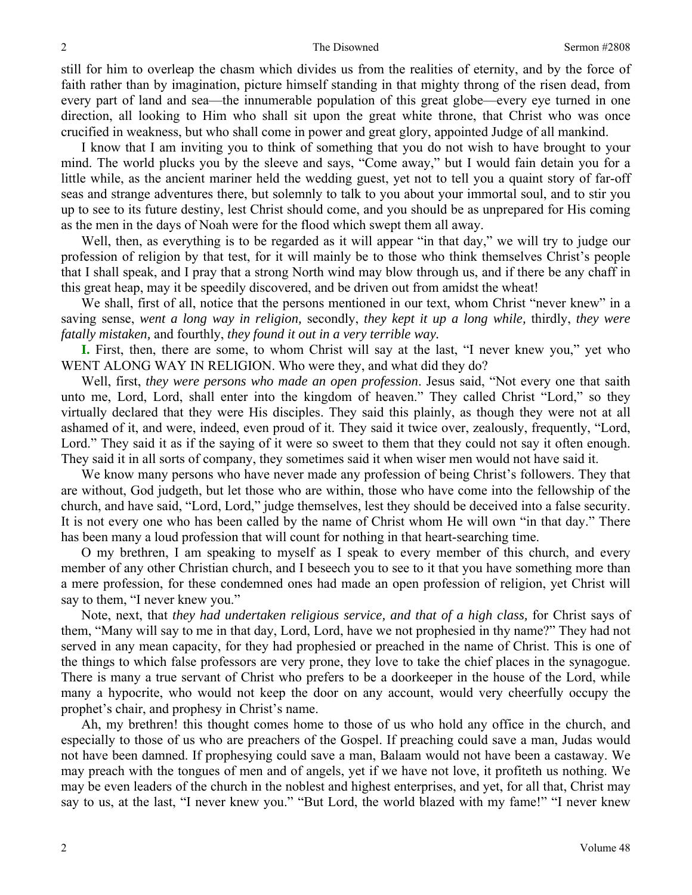still for him to overleap the chasm which divides us from the realities of eternity, and by the force of faith rather than by imagination, picture himself standing in that mighty throng of the risen dead, from every part of land and sea—the innumerable population of this great globe—every eye turned in one direction, all looking to Him who shall sit upon the great white throne, that Christ who was once crucified in weakness, but who shall come in power and great glory, appointed Judge of all mankind.

I know that I am inviting you to think of something that you do not wish to have brought to your mind. The world plucks you by the sleeve and says, "Come away," but I would fain detain you for a little while, as the ancient mariner held the wedding guest, yet not to tell you a quaint story of far-off seas and strange adventures there, but solemnly to talk to you about your immortal soul, and to stir you up to see to its future destiny, lest Christ should come, and you should be as unprepared for His coming as the men in the days of Noah were for the flood which swept them all away.

Well, then, as everything is to be regarded as it will appear "in that day," we will try to judge our profession of religion by that test, for it will mainly be to those who think themselves Christ's people that I shall speak, and I pray that a strong North wind may blow through us, and if there be any chaff in this great heap, may it be speedily discovered, and be driven out from amidst the wheat!

We shall, first of all, notice that the persons mentioned in our text, whom Christ "never knew" in a saving sense, *went a long way in religion,* secondly, *they kept it up a long while,* thirdly, *they were fatally mistaken,* and fourthly, *they found it out in a very terrible way.* 

**I.** First, then, there are some, to whom Christ will say at the last, "I never knew you," yet who WENT ALONG WAY IN RELIGION. Who were they, and what did they do?

Well, first, *they were persons who made an open profession*. Jesus said, "Not every one that saith unto me, Lord, Lord, shall enter into the kingdom of heaven." They called Christ "Lord," so they virtually declared that they were His disciples. They said this plainly, as though they were not at all ashamed of it, and were, indeed, even proud of it. They said it twice over, zealously, frequently, "Lord, Lord." They said it as if the saying of it were so sweet to them that they could not say it often enough. They said it in all sorts of company, they sometimes said it when wiser men would not have said it.

We know many persons who have never made any profession of being Christ's followers. They that are without, God judgeth, but let those who are within, those who have come into the fellowship of the church, and have said, "Lord, Lord," judge themselves, lest they should be deceived into a false security. It is not every one who has been called by the name of Christ whom He will own "in that day." There has been many a loud profession that will count for nothing in that heart-searching time.

O my brethren, I am speaking to myself as I speak to every member of this church, and every member of any other Christian church, and I beseech you to see to it that you have something more than a mere profession, for these condemned ones had made an open profession of religion, yet Christ will say to them, "I never knew you."

Note, next, that *they had undertaken religious service, and that of a high class,* for Christ says of them, "Many will say to me in that day, Lord, Lord, have we not prophesied in thy name?" They had not served in any mean capacity, for they had prophesied or preached in the name of Christ. This is one of the things to which false professors are very prone, they love to take the chief places in the synagogue. There is many a true servant of Christ who prefers to be a doorkeeper in the house of the Lord, while many a hypocrite, who would not keep the door on any account, would very cheerfully occupy the prophet's chair, and prophesy in Christ's name.

Ah, my brethren! this thought comes home to those of us who hold any office in the church, and especially to those of us who are preachers of the Gospel. If preaching could save a man, Judas would not have been damned. If prophesying could save a man, Balaam would not have been a castaway. We may preach with the tongues of men and of angels, yet if we have not love, it profiteth us nothing. We may be even leaders of the church in the noblest and highest enterprises, and yet, for all that, Christ may say to us, at the last, "I never knew you." "But Lord, the world blazed with my fame!" "I never knew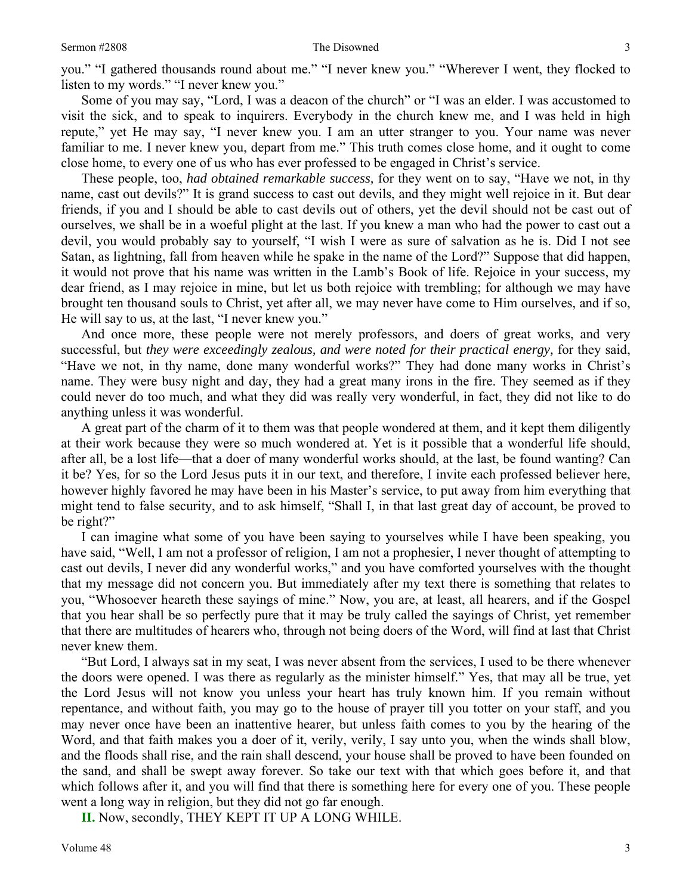you." "I gathered thousands round about me." "I never knew you." "Wherever I went, they flocked to listen to my words." "I never knew you."

Some of you may say, "Lord, I was a deacon of the church" or "I was an elder. I was accustomed to visit the sick, and to speak to inquirers. Everybody in the church knew me, and I was held in high repute," yet He may say, "I never knew you. I am an utter stranger to you. Your name was never familiar to me. I never knew you, depart from me." This truth comes close home, and it ought to come close home, to every one of us who has ever professed to be engaged in Christ's service.

These people, too, *had obtained remarkable success,* for they went on to say, "Have we not, in thy name, cast out devils?" It is grand success to cast out devils, and they might well rejoice in it. But dear friends, if you and I should be able to cast devils out of others, yet the devil should not be cast out of ourselves, we shall be in a woeful plight at the last. If you knew a man who had the power to cast out a devil, you would probably say to yourself, "I wish I were as sure of salvation as he is. Did I not see Satan, as lightning, fall from heaven while he spake in the name of the Lord?" Suppose that did happen, it would not prove that his name was written in the Lamb's Book of life. Rejoice in your success, my dear friend, as I may rejoice in mine, but let us both rejoice with trembling; for although we may have brought ten thousand souls to Christ, yet after all, we may never have come to Him ourselves, and if so, He will say to us, at the last, "I never knew you."

And once more, these people were not merely professors, and doers of great works, and very successful, but *they were exceedingly zealous, and were noted for their practical energy,* for they said, "Have we not, in thy name, done many wonderful works?" They had done many works in Christ's name. They were busy night and day, they had a great many irons in the fire. They seemed as if they could never do too much, and what they did was really very wonderful, in fact, they did not like to do anything unless it was wonderful.

A great part of the charm of it to them was that people wondered at them, and it kept them diligently at their work because they were so much wondered at. Yet is it possible that a wonderful life should, after all, be a lost life—that a doer of many wonderful works should, at the last, be found wanting? Can it be? Yes, for so the Lord Jesus puts it in our text, and therefore, I invite each professed believer here, however highly favored he may have been in his Master's service, to put away from him everything that might tend to false security, and to ask himself, "Shall I, in that last great day of account, be proved to be right?"

I can imagine what some of you have been saying to yourselves while I have been speaking, you have said, "Well, I am not a professor of religion, I am not a prophesier, I never thought of attempting to cast out devils, I never did any wonderful works," and you have comforted yourselves with the thought that my message did not concern you. But immediately after my text there is something that relates to you, "Whosoever heareth these sayings of mine." Now, you are, at least, all hearers, and if the Gospel that you hear shall be so perfectly pure that it may be truly called the sayings of Christ, yet remember that there are multitudes of hearers who, through not being doers of the Word, will find at last that Christ never knew them.

"But Lord, I always sat in my seat, I was never absent from the services, I used to be there whenever the doors were opened. I was there as regularly as the minister himself." Yes, that may all be true, yet the Lord Jesus will not know you unless your heart has truly known him. If you remain without repentance, and without faith, you may go to the house of prayer till you totter on your staff, and you may never once have been an inattentive hearer, but unless faith comes to you by the hearing of the Word, and that faith makes you a doer of it, verily, verily, I say unto you, when the winds shall blow, and the floods shall rise, and the rain shall descend, your house shall be proved to have been founded on the sand, and shall be swept away forever. So take our text with that which goes before it, and that which follows after it, and you will find that there is something here for every one of you. These people went a long way in religion, but they did not go far enough.

**II.** Now, secondly, THEY KEPT IT UP A LONG WHILE.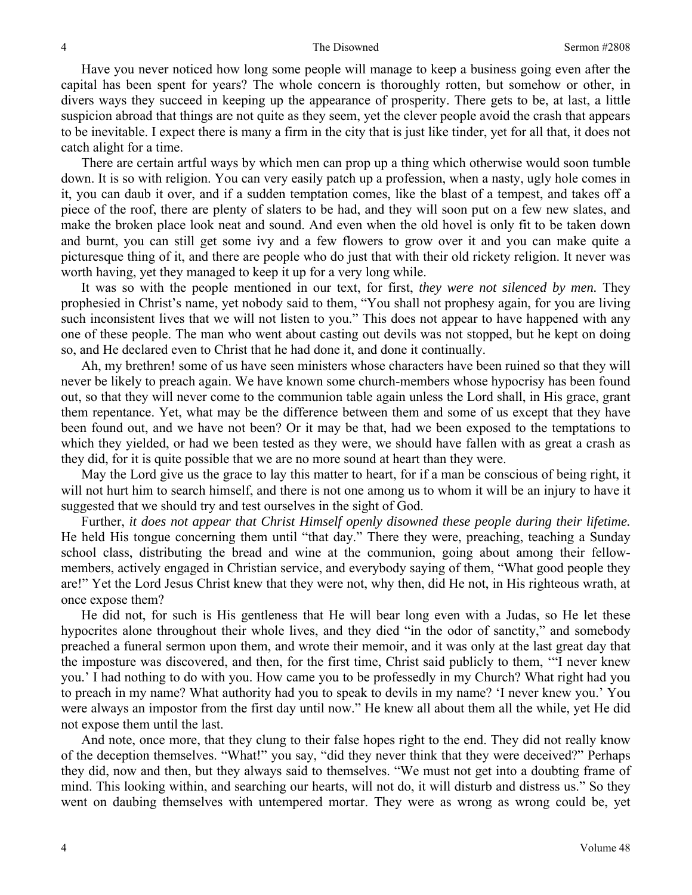Have you never noticed how long some people will manage to keep a business going even after the capital has been spent for years? The whole concern is thoroughly rotten, but somehow or other, in divers ways they succeed in keeping up the appearance of prosperity. There gets to be, at last, a little suspicion abroad that things are not quite as they seem, yet the clever people avoid the crash that appears to be inevitable. I expect there is many a firm in the city that is just like tinder, yet for all that, it does not catch alight for a time.

There are certain artful ways by which men can prop up a thing which otherwise would soon tumble down. It is so with religion. You can very easily patch up a profession, when a nasty, ugly hole comes in it, you can daub it over, and if a sudden temptation comes, like the blast of a tempest, and takes off a piece of the roof, there are plenty of slaters to be had, and they will soon put on a few new slates, and make the broken place look neat and sound. And even when the old hovel is only fit to be taken down and burnt, you can still get some ivy and a few flowers to grow over it and you can make quite a picturesque thing of it, and there are people who do just that with their old rickety religion. It never was worth having, yet they managed to keep it up for a very long while.

It was so with the people mentioned in our text, for first, *they were not silenced by men.* They prophesied in Christ's name, yet nobody said to them, "You shall not prophesy again, for you are living such inconsistent lives that we will not listen to you." This does not appear to have happened with any one of these people. The man who went about casting out devils was not stopped, but he kept on doing so, and He declared even to Christ that he had done it, and done it continually.

Ah, my brethren! some of us have seen ministers whose characters have been ruined so that they will never be likely to preach again. We have known some church-members whose hypocrisy has been found out, so that they will never come to the communion table again unless the Lord shall, in His grace, grant them repentance. Yet, what may be the difference between them and some of us except that they have been found out, and we have not been? Or it may be that, had we been exposed to the temptations to which they yielded, or had we been tested as they were, we should have fallen with as great a crash as they did, for it is quite possible that we are no more sound at heart than they were.

May the Lord give us the grace to lay this matter to heart, for if a man be conscious of being right, it will not hurt him to search himself, and there is not one among us to whom it will be an injury to have it suggested that we should try and test ourselves in the sight of God.

Further, *it does not appear that Christ Himself openly disowned these people during their lifetime.* He held His tongue concerning them until "that day." There they were, preaching, teaching a Sunday school class, distributing the bread and wine at the communion, going about among their fellowmembers, actively engaged in Christian service, and everybody saying of them, "What good people they are!" Yet the Lord Jesus Christ knew that they were not, why then, did He not, in His righteous wrath, at once expose them?

He did not, for such is His gentleness that He will bear long even with a Judas, so He let these hypocrites alone throughout their whole lives, and they died "in the odor of sanctity," and somebody preached a funeral sermon upon them, and wrote their memoir, and it was only at the last great day that the imposture was discovered, and then, for the first time, Christ said publicly to them, '"I never knew you.' I had nothing to do with you. How came you to be professedly in my Church? What right had you to preach in my name? What authority had you to speak to devils in my name? 'I never knew you.' You were always an impostor from the first day until now." He knew all about them all the while, yet He did not expose them until the last.

And note, once more, that they clung to their false hopes right to the end. They did not really know of the deception themselves. "What!" you say, "did they never think that they were deceived?" Perhaps they did, now and then, but they always said to themselves. "We must not get into a doubting frame of mind. This looking within, and searching our hearts, will not do, it will disturb and distress us." So they went on daubing themselves with untempered mortar. They were as wrong as wrong could be, yet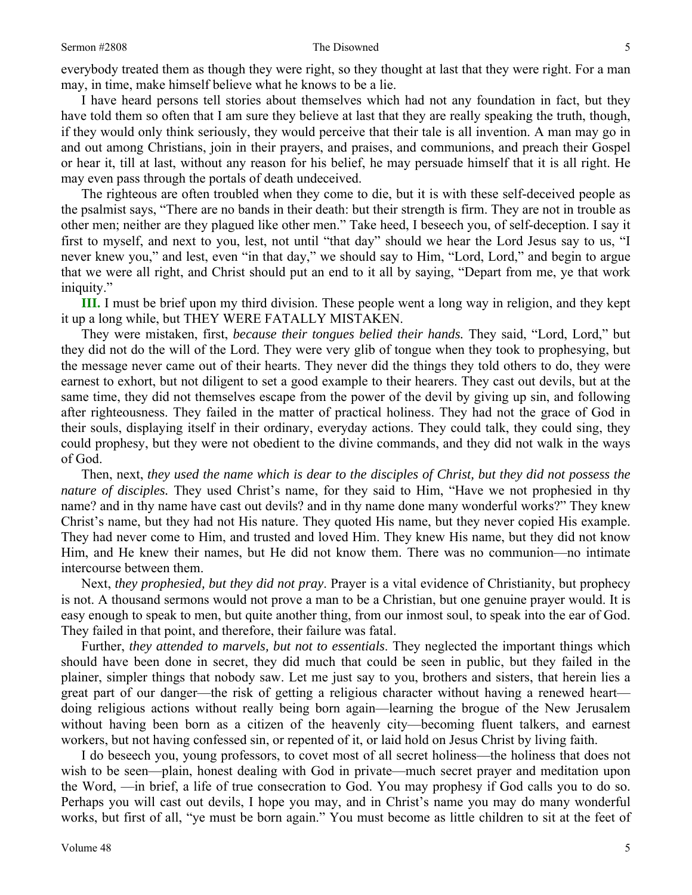everybody treated them as though they were right, so they thought at last that they were right. For a man may, in time, make himself believe what he knows to be a lie.

I have heard persons tell stories about themselves which had not any foundation in fact, but they have told them so often that I am sure they believe at last that they are really speaking the truth, though, if they would only think seriously, they would perceive that their tale is all invention. A man may go in and out among Christians, join in their prayers, and praises, and communions, and preach their Gospel or hear it, till at last, without any reason for his belief, he may persuade himself that it is all right. He may even pass through the portals of death undeceived.

The righteous are often troubled when they come to die, but it is with these self-deceived people as the psalmist says, "There are no bands in their death: but their strength is firm. They are not in trouble as other men; neither are they plagued like other men." Take heed, I beseech you, of self-deception. I say it first to myself, and next to you, lest, not until "that day" should we hear the Lord Jesus say to us, "I never knew you," and lest, even "in that day," we should say to Him, "Lord, Lord," and begin to argue that we were all right, and Christ should put an end to it all by saying, "Depart from me, ye that work iniquity."

**III.** I must be brief upon my third division. These people went a long way in religion, and they kept it up a long while, but THEY WERE FATALLY MISTAKEN.

They were mistaken, first, *because their tongues belied their hands.* They said, "Lord, Lord," but they did not do the will of the Lord. They were very glib of tongue when they took to prophesying, but the message never came out of their hearts. They never did the things they told others to do, they were earnest to exhort, but not diligent to set a good example to their hearers. They cast out devils, but at the same time, they did not themselves escape from the power of the devil by giving up sin, and following after righteousness. They failed in the matter of practical holiness. They had not the grace of God in their souls, displaying itself in their ordinary, everyday actions. They could talk, they could sing, they could prophesy, but they were not obedient to the divine commands, and they did not walk in the ways of God.

Then, next, *they used the name which is dear to the disciples of Christ, but they did not possess the nature of disciples.* They used Christ's name, for they said to Him, "Have we not prophesied in thy name? and in thy name have cast out devils? and in thy name done many wonderful works?" They knew Christ's name, but they had not His nature. They quoted His name, but they never copied His example. They had never come to Him, and trusted and loved Him. They knew His name, but they did not know Him, and He knew their names, but He did not know them. There was no communion—no intimate intercourse between them.

Next, *they prophesied, but they did not pray*. Prayer is a vital evidence of Christianity, but prophecy is not. A thousand sermons would not prove a man to be a Christian, but one genuine prayer would. It is easy enough to speak to men, but quite another thing, from our inmost soul, to speak into the ear of God. They failed in that point, and therefore, their failure was fatal.

Further, *they attended to marvels, but not to essentials*. They neglected the important things which should have been done in secret, they did much that could be seen in public, but they failed in the plainer, simpler things that nobody saw. Let me just say to you, brothers and sisters, that herein lies a great part of our danger—the risk of getting a religious character without having a renewed heart doing religious actions without really being born again—learning the brogue of the New Jerusalem without having been born as a citizen of the heavenly city—becoming fluent talkers, and earnest workers, but not having confessed sin, or repented of it, or laid hold on Jesus Christ by living faith.

I do beseech you, young professors, to covet most of all secret holiness—the holiness that does not wish to be seen—plain, honest dealing with God in private—much secret prayer and meditation upon the Word, —in brief, a life of true consecration to God. You may prophesy if God calls you to do so. Perhaps you will cast out devils, I hope you may, and in Christ's name you may do many wonderful works, but first of all, "ye must be born again." You must become as little children to sit at the feet of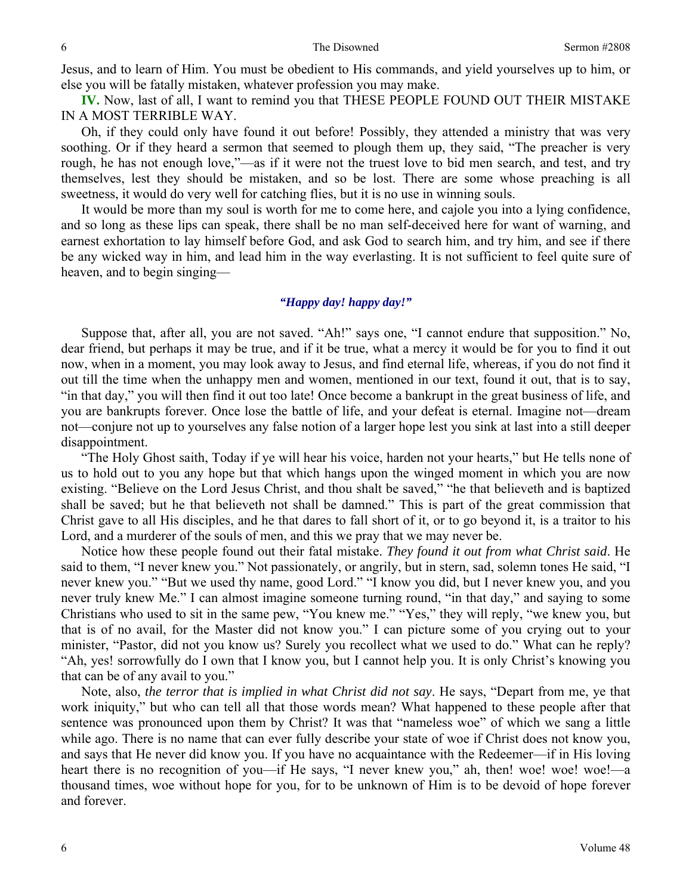Jesus, and to learn of Him. You must be obedient to His commands, and yield yourselves up to him, or else you will be fatally mistaken, whatever profession you may make.

**IV.** Now, last of all, I want to remind you that THESE PEOPLE FOUND OUT THEIR MISTAKE IN A MOST TERRIBLE WAY.

Oh, if they could only have found it out before! Possibly, they attended a ministry that was very soothing. Or if they heard a sermon that seemed to plough them up, they said, "The preacher is very rough, he has not enough love,"—as if it were not the truest love to bid men search, and test, and try themselves, lest they should be mistaken, and so be lost. There are some whose preaching is all sweetness, it would do very well for catching flies, but it is no use in winning souls.

It would be more than my soul is worth for me to come here, and cajole you into a lying confidence, and so long as these lips can speak, there shall be no man self-deceived here for want of warning, and earnest exhortation to lay himself before God, and ask God to search him, and try him, and see if there be any wicked way in him, and lead him in the way everlasting. It is not sufficient to feel quite sure of heaven, and to begin singing—

### *"Happy day! happy day!"*

Suppose that, after all, you are not saved. "Ah!" says one, "I cannot endure that supposition." No, dear friend, but perhaps it may be true, and if it be true, what a mercy it would be for you to find it out now, when in a moment, you may look away to Jesus, and find eternal life, whereas, if you do not find it out till the time when the unhappy men and women, mentioned in our text, found it out, that is to say, "in that day," you will then find it out too late! Once become a bankrupt in the great business of life, and you are bankrupts forever. Once lose the battle of life, and your defeat is eternal. Imagine not—dream not—conjure not up to yourselves any false notion of a larger hope lest you sink at last into a still deeper disappointment.

"The Holy Ghost saith, Today if ye will hear his voice, harden not your hearts," but He tells none of us to hold out to you any hope but that which hangs upon the winged moment in which you are now existing. "Believe on the Lord Jesus Christ, and thou shalt be saved," "he that believeth and is baptized shall be saved; but he that believeth not shall be damned." This is part of the great commission that Christ gave to all His disciples, and he that dares to fall short of it, or to go beyond it, is a traitor to his Lord, and a murderer of the souls of men, and this we pray that we may never be.

Notice how these people found out their fatal mistake. *They found it out from what Christ said*. He said to them, "I never knew you." Not passionately, or angrily, but in stern, sad, solemn tones He said, "I never knew you." "But we used thy name, good Lord." "I know you did, but I never knew you, and you never truly knew Me." I can almost imagine someone turning round, "in that day," and saying to some Christians who used to sit in the same pew, "You knew me." "Yes," they will reply, "we knew you, but that is of no avail, for the Master did not know you." I can picture some of you crying out to your minister, "Pastor, did not you know us? Surely you recollect what we used to do." What can he reply? "Ah, yes! sorrowfully do I own that I know you, but I cannot help you. It is only Christ's knowing you that can be of any avail to you."

Note, also, *the terror that is implied in what Christ did not say*. He says, "Depart from me, ye that work iniquity," but who can tell all that those words mean? What happened to these people after that sentence was pronounced upon them by Christ? It was that "nameless woe" of which we sang a little while ago. There is no name that can ever fully describe your state of woe if Christ does not know you, and says that He never did know you. If you have no acquaintance with the Redeemer—if in His loving heart there is no recognition of you—if He says, "I never knew you," ah, then! woe! woe! woe!—a thousand times, woe without hope for you, for to be unknown of Him is to be devoid of hope forever and forever.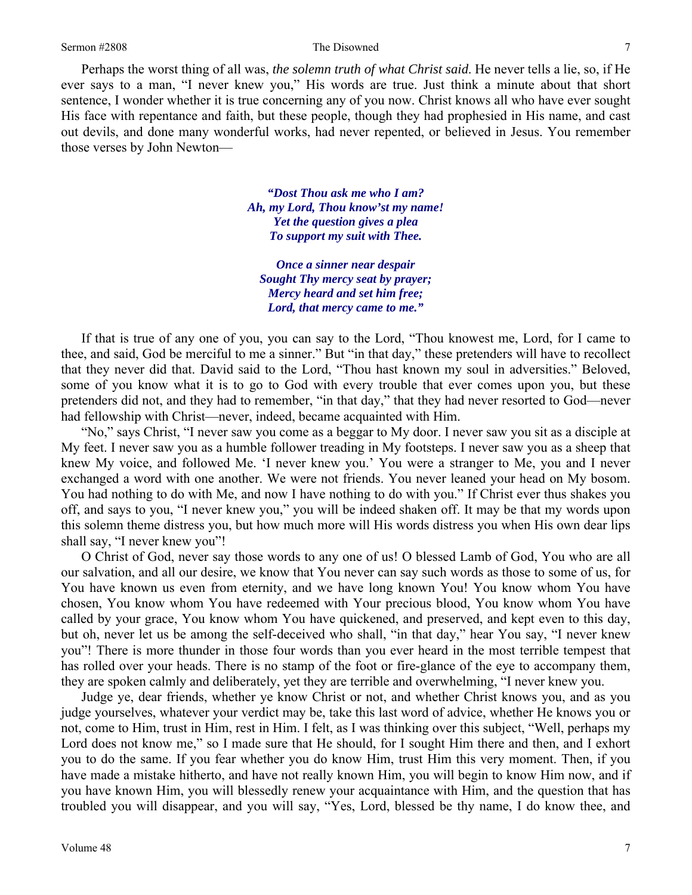Perhaps the worst thing of all was, *the solemn truth of what Christ said*. He never tells a lie, so, if He ever says to a man, "I never knew you," His words are true. Just think a minute about that short sentence, I wonder whether it is true concerning any of you now. Christ knows all who have ever sought His face with repentance and faith, but these people, though they had prophesied in His name, and cast out devils, and done many wonderful works, had never repented, or believed in Jesus. You remember those verses by John Newton—

> *"Dost Thou ask me who I am? Ah, my Lord, Thou know'st my name! Yet the question gives a plea To support my suit with Thee.*

*Once a sinner near despair Sought Thy mercy seat by prayer; Mercy heard and set him free; Lord, that mercy came to me."* 

If that is true of any one of you, you can say to the Lord, "Thou knowest me, Lord, for I came to thee, and said, God be merciful to me a sinner." But "in that day," these pretenders will have to recollect that they never did that. David said to the Lord, "Thou hast known my soul in adversities." Beloved, some of you know what it is to go to God with every trouble that ever comes upon you, but these pretenders did not, and they had to remember, "in that day," that they had never resorted to God—never had fellowship with Christ—never, indeed, became acquainted with Him.

"No," says Christ, "I never saw you come as a beggar to My door. I never saw you sit as a disciple at My feet. I never saw you as a humble follower treading in My footsteps. I never saw you as a sheep that knew My voice, and followed Me. 'I never knew you.' You were a stranger to Me, you and I never exchanged a word with one another. We were not friends. You never leaned your head on My bosom. You had nothing to do with Me, and now I have nothing to do with you." If Christ ever thus shakes you off, and says to you, "I never knew you," you will be indeed shaken off. It may be that my words upon this solemn theme distress you, but how much more will His words distress you when His own dear lips shall say, "I never knew you"!

O Christ of God, never say those words to any one of us! O blessed Lamb of God, You who are all our salvation, and all our desire, we know that You never can say such words as those to some of us, for You have known us even from eternity, and we have long known You! You know whom You have chosen, You know whom You have redeemed with Your precious blood, You know whom You have called by your grace, You know whom You have quickened, and preserved, and kept even to this day, but oh, never let us be among the self-deceived who shall, "in that day," hear You say, "I never knew you"! There is more thunder in those four words than you ever heard in the most terrible tempest that has rolled over your heads. There is no stamp of the foot or fire-glance of the eye to accompany them, they are spoken calmly and deliberately, yet they are terrible and overwhelming, "I never knew you.

Judge ye, dear friends, whether ye know Christ or not, and whether Christ knows you, and as you judge yourselves, whatever your verdict may be, take this last word of advice, whether He knows you or not, come to Him, trust in Him, rest in Him. I felt, as I was thinking over this subject, "Well, perhaps my Lord does not know me," so I made sure that He should, for I sought Him there and then, and I exhort you to do the same. If you fear whether you do know Him, trust Him this very moment. Then, if you have made a mistake hitherto, and have not really known Him, you will begin to know Him now, and if you have known Him, you will blessedly renew your acquaintance with Him, and the question that has troubled you will disappear, and you will say, "Yes, Lord, blessed be thy name, I do know thee, and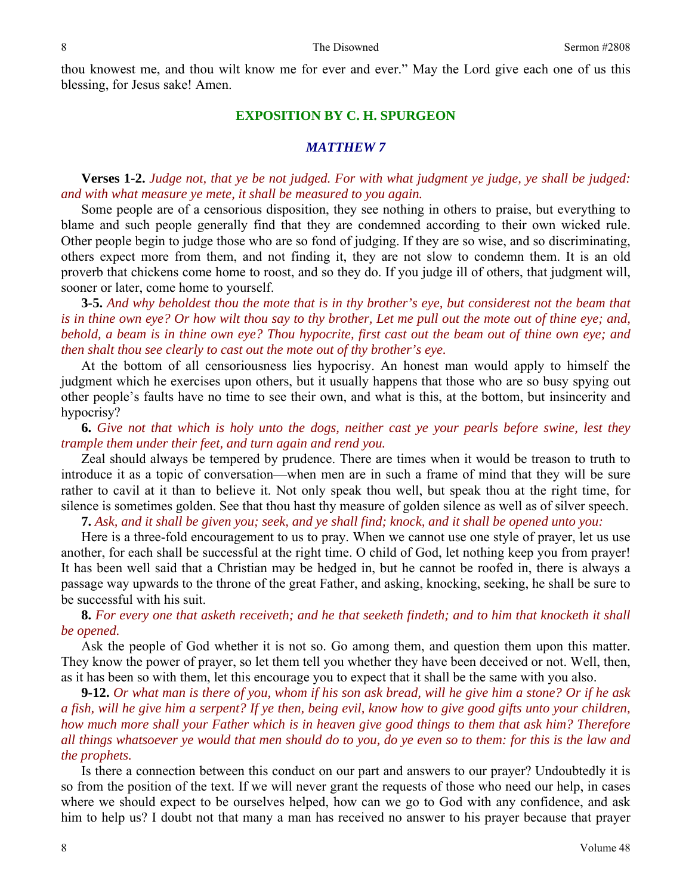thou knowest me, and thou wilt know me for ever and ever." May the Lord give each one of us this blessing, for Jesus sake! Amen.

#### **EXPOSITION BY C. H. SPURGEON**

#### *MATTHEW 7*

**Verses 1-2.** *Judge not, that ye be not judged. For with what judgment ye judge, ye shall be judged: and with what measure ye mete, it shall be measured to you again.* 

Some people are of a censorious disposition, they see nothing in others to praise, but everything to blame and such people generally find that they are condemned according to their own wicked rule. Other people begin to judge those who are so fond of judging. If they are so wise, and so discriminating, others expect more from them, and not finding it, they are not slow to condemn them. It is an old proverb that chickens come home to roost, and so they do. If you judge ill of others, that judgment will, sooner or later, come home to yourself.

**3-5.** *And why beholdest thou the mote that is in thy brother's eye, but considerest not the beam that is in thine own eye? Or how wilt thou say to thy brother, Let me pull out the mote out of thine eye; and, behold, a beam is in thine own eye? Thou hypocrite, first cast out the beam out of thine own eye; and then shalt thou see clearly to cast out the mote out of thy brother's eye.* 

At the bottom of all censoriousness lies hypocrisy. An honest man would apply to himself the judgment which he exercises upon others, but it usually happens that those who are so busy spying out other people's faults have no time to see their own, and what is this, at the bottom, but insincerity and hypocrisy?

**6.** *Give not that which is holy unto the dogs, neither cast ye your pearls before swine, lest they trample them under their feet, and turn again and rend you.* 

Zeal should always be tempered by prudence. There are times when it would be treason to truth to introduce it as a topic of conversation—when men are in such a frame of mind that they will be sure rather to cavil at it than to believe it. Not only speak thou well, but speak thou at the right time, for silence is sometimes golden. See that thou hast thy measure of golden silence as well as of silver speech.

**7.** *Ask, and it shall be given you; seek, and ye shall find; knock, and it shall be opened unto you:* 

Here is a three-fold encouragement to us to pray. When we cannot use one style of prayer, let us use another, for each shall be successful at the right time. O child of God, let nothing keep you from prayer! It has been well said that a Christian may be hedged in, but he cannot be roofed in, there is always a passage way upwards to the throne of the great Father, and asking, knocking, seeking, he shall be sure to be successful with his suit.

**8.** *For every one that asketh receiveth; and he that seeketh findeth; and to him that knocketh it shall be opened.* 

Ask the people of God whether it is not so. Go among them, and question them upon this matter. They know the power of prayer, so let them tell you whether they have been deceived or not. Well, then, as it has been so with them, let this encourage you to expect that it shall be the same with you also.

**9-12.** *Or what man is there of you, whom if his son ask bread, will he give him a stone? Or if he ask a fish, will he give him a serpent? If ye then, being evil, know how to give good gifts unto your children, how much more shall your Father which is in heaven give good things to them that ask him? Therefore all things whatsoever ye would that men should do to you, do ye even so to them: for this is the law and the prophets.* 

Is there a connection between this conduct on our part and answers to our prayer? Undoubtedly it is so from the position of the text. If we will never grant the requests of those who need our help, in cases where we should expect to be ourselves helped, how can we go to God with any confidence, and ask him to help us? I doubt not that many a man has received no answer to his prayer because that prayer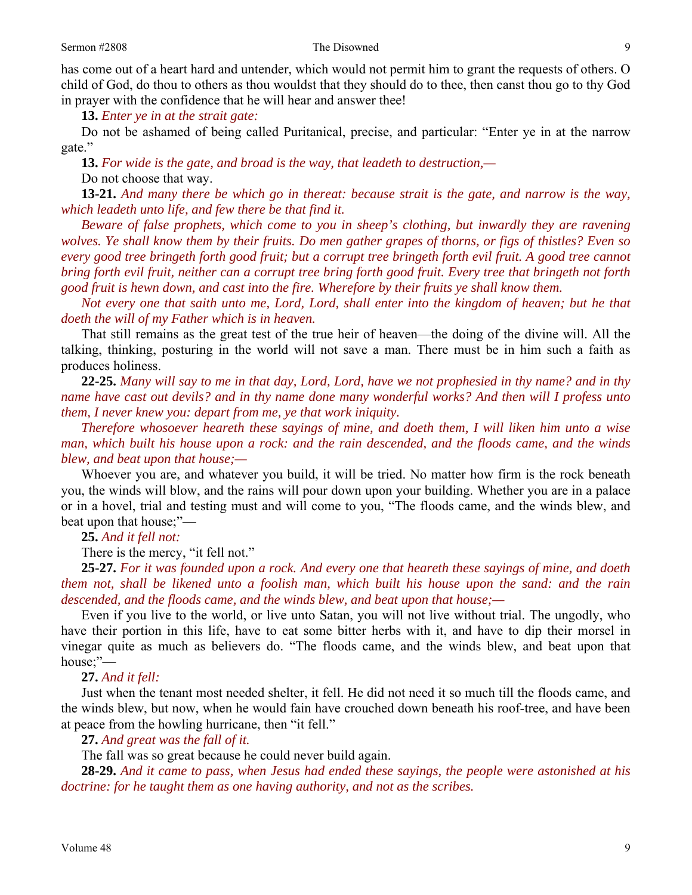#### Sermon #2808 Sermon #2808 Sermon #2808 Sermon #2808 Sermon #2808 Sermon #2808 Sermon #2808 Sermon #2808 Sermon #

has come out of a heart hard and untender, which would not permit him to grant the requests of others. O child of God, do thou to others as thou wouldst that they should do to thee, then canst thou go to thy God in prayer with the confidence that he will hear and answer thee!

**13.** *Enter ye in at the strait gate:* 

Do not be ashamed of being called Puritanical, precise, and particular: "Enter ye in at the narrow gate."

**13.** *For wide is the gate, and broad is the way, that leadeth to destruction,—*

Do not choose that way.

**13-21.** *And many there be which go in thereat: because strait is the gate, and narrow is the way, which leadeth unto life, and few there be that find it.* 

*Beware of false prophets, which come to you in sheep's clothing, but inwardly they are ravening wolves. Ye shall know them by their fruits. Do men gather grapes of thorns, or figs of thistles? Even so every good tree bringeth forth good fruit; but a corrupt tree bringeth forth evil fruit. A good tree cannot bring forth evil fruit, neither can a corrupt tree bring forth good fruit. Every tree that bringeth not forth good fruit is hewn down, and cast into the fire. Wherefore by their fruits ye shall know them.* 

*Not every one that saith unto me, Lord, Lord, shall enter into the kingdom of heaven; but he that doeth the will of my Father which is in heaven.* 

That still remains as the great test of the true heir of heaven—the doing of the divine will. All the talking, thinking, posturing in the world will not save a man. There must be in him such a faith as produces holiness.

**22-25.** *Many will say to me in that day, Lord, Lord, have we not prophesied in thy name? and in thy name have cast out devils? and in thy name done many wonderful works? And then will I profess unto them, I never knew you: depart from me, ye that work iniquity.* 

*Therefore whosoever heareth these sayings of mine, and doeth them, I will liken him unto a wise man, which built his house upon a rock: and the rain descended, and the floods came, and the winds blew, and beat upon that house;—* 

Whoever you are, and whatever you build, it will be tried. No matter how firm is the rock beneath you, the winds will blow, and the rains will pour down upon your building. Whether you are in a palace or in a hovel, trial and testing must and will come to you, "The floods came, and the winds blew, and beat upon that house;"—

## **25.** *And it fell not:*

There is the mercy, "it fell not."

**25-27.** *For it was founded upon a rock. And every one that heareth these sayings of mine, and doeth them not, shall be likened unto a foolish man, which built his house upon the sand: and the rain descended, and the floods came, and the winds blew, and beat upon that house;—* 

Even if you live to the world, or live unto Satan, you will not live without trial. The ungodly, who have their portion in this life, have to eat some bitter herbs with it, and have to dip their morsel in vinegar quite as much as believers do. "The floods came, and the winds blew, and beat upon that house;"—

### **27.** *And it fell:*

Just when the tenant most needed shelter, it fell. He did not need it so much till the floods came, and the winds blew, but now, when he would fain have crouched down beneath his roof-tree, and have been at peace from the howling hurricane, then "it fell."

**27.** *And great was the fall of it.* 

The fall was so great because he could never build again.

**28-29.** *And it came to pass, when Jesus had ended these sayings, the people were astonished at his doctrine: for he taught them as one having authority, and not as the scribes.*